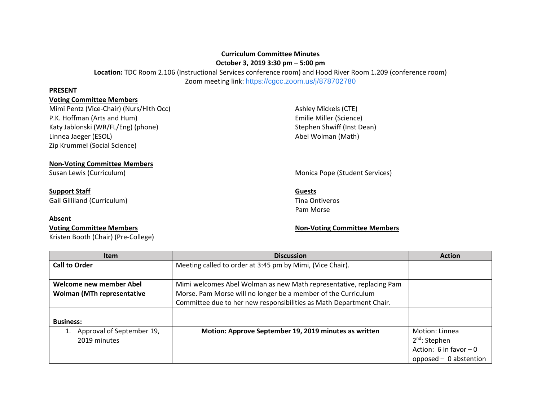## **Curriculum Committee Minutes October 3, 2019 3:30 pm – 5:00 pm**

**Location:** TDC Room 2.106 (Instructional Services conference room) and Hood River Room 1.209 (conference room) Zoom meeting link: <https://cgcc.zoom.us/j/878702780>

## **PRESENT**

## **Voting Committee Members**

Mimi Pentz (Vice-Chair) (Nurs/Hlth Occ) and Ashley Mickels (CTE) Ashley Mickels (CTE) P.K. Hoffman (Arts and Hum) **Emilie Miller (Science)** Katy Jablonski (WR/FL/Eng) (phone) Stephen Shwiff (Inst Dean) Linnea Jaeger (ESOL) and the Contract of the Contract of the Abel Wolman (Math) Zip Krummel (Social Science)

## **Non-Voting Committee Members**

# **Support Staff Guests**

Gail Gilliland (Curriculum) Santo Communication of the Communication of the Communication of the Communication of the Communication of the Communication of the Communication of the Communication of the Communication of the

## **Absent**

Kristen Booth (Chair) (Pre-College)

## Susan Lewis (Curriculum) and Susan Lewis (Curriculum) and Monica Pope (Student Services)

Pam Morse

## **Voting Committee Members Non-Voting Committee Members**

| <b>Item</b>                       | <b>Discussion</b>                                                   | <b>Action</b>            |
|-----------------------------------|---------------------------------------------------------------------|--------------------------|
| <b>Call to Order</b>              | Meeting called to order at 3:45 pm by Mimi, (Vice Chair).           |                          |
|                                   |                                                                     |                          |
| Welcome new member Abel           | Mimi welcomes Abel Wolman as new Math representative, replacing Pam |                          |
| <b>Wolman (MTh representative</b> | Morse. Pam Morse will no longer be a member of the Curriculum       |                          |
|                                   | Committee due to her new responsibilities as Math Department Chair. |                          |
|                                   |                                                                     |                          |
| <b>Business:</b>                  |                                                                     |                          |
| Approval of September 19,         | Motion: Approve September 19, 2019 minutes as written               | Motion: Linnea           |
| 2019 minutes                      |                                                                     | $2nd$ : Stephen          |
|                                   |                                                                     | Action: 6 in favor $-0$  |
|                                   |                                                                     | opposed $-$ 0 abstention |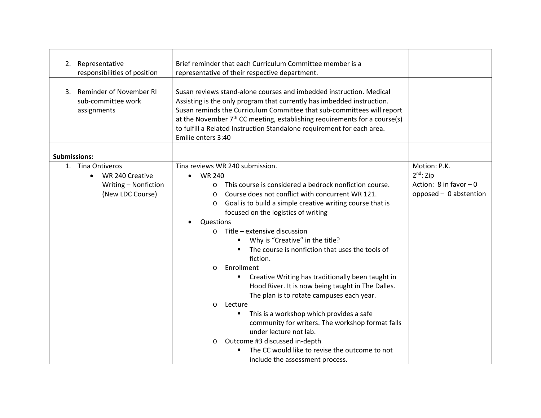| 2. | Representative                                                  | Brief reminder that each Curriculum Committee member is a                                                                                                                                                                                                                                                                                                                                              |                           |
|----|-----------------------------------------------------------------|--------------------------------------------------------------------------------------------------------------------------------------------------------------------------------------------------------------------------------------------------------------------------------------------------------------------------------------------------------------------------------------------------------|---------------------------|
|    | responsibilities of position                                    | representative of their respective department.                                                                                                                                                                                                                                                                                                                                                         |                           |
|    |                                                                 |                                                                                                                                                                                                                                                                                                                                                                                                        |                           |
|    | 3. Reminder of November RI<br>sub-committee work<br>assignments | Susan reviews stand-alone courses and imbedded instruction. Medical<br>Assisting is the only program that currently has imbedded instruction.<br>Susan reminds the Curriculum Committee that sub-committees will report<br>at the November $7th$ CC meeting, establishing requirements for a course(s)<br>to fulfill a Related Instruction Standalone requirement for each area.<br>Emilie enters 3:40 |                           |
|    | <b>Submissions:</b>                                             |                                                                                                                                                                                                                                                                                                                                                                                                        |                           |
|    | 1. Tina Ontiveros                                               | Tina reviews WR 240 submission.                                                                                                                                                                                                                                                                                                                                                                        | Motion: P.K.              |
|    | WR 240 Creative<br>$\bullet$                                    | <b>WR 240</b>                                                                                                                                                                                                                                                                                                                                                                                          | $2^{nd}$ : Zip            |
|    | Writing - Nonfiction                                            | This course is considered a bedrock nonfiction course.<br>$\Omega$                                                                                                                                                                                                                                                                                                                                     | Action: $8$ in favor $-0$ |
|    | (New LDC Course)                                                | Course does not conflict with concurrent WR 121.<br>$\Omega$                                                                                                                                                                                                                                                                                                                                           | opposed - 0 abstention    |
|    |                                                                 | Goal is to build a simple creative writing course that is<br>$\circ$                                                                                                                                                                                                                                                                                                                                   |                           |
|    |                                                                 | focused on the logistics of writing                                                                                                                                                                                                                                                                                                                                                                    |                           |
|    |                                                                 | Questions                                                                                                                                                                                                                                                                                                                                                                                              |                           |
|    |                                                                 | Title - extensive discussion<br>$\circ$                                                                                                                                                                                                                                                                                                                                                                |                           |
|    |                                                                 | Why is "Creative" in the title?                                                                                                                                                                                                                                                                                                                                                                        |                           |
|    |                                                                 | The course is nonfiction that uses the tools of                                                                                                                                                                                                                                                                                                                                                        |                           |
|    |                                                                 | fiction.                                                                                                                                                                                                                                                                                                                                                                                               |                           |
|    |                                                                 | Enrollment<br>$\Omega$                                                                                                                                                                                                                                                                                                                                                                                 |                           |
|    |                                                                 | Creative Writing has traditionally been taught in                                                                                                                                                                                                                                                                                                                                                      |                           |
|    |                                                                 | Hood River. It is now being taught in The Dalles.                                                                                                                                                                                                                                                                                                                                                      |                           |
|    |                                                                 | The plan is to rotate campuses each year.                                                                                                                                                                                                                                                                                                                                                              |                           |
|    |                                                                 | Lecture<br>$\circ$                                                                                                                                                                                                                                                                                                                                                                                     |                           |
|    |                                                                 | This is a workshop which provides a safe<br>٠                                                                                                                                                                                                                                                                                                                                                          |                           |
|    |                                                                 | community for writers. The workshop format falls                                                                                                                                                                                                                                                                                                                                                       |                           |
|    |                                                                 | under lecture not lab.                                                                                                                                                                                                                                                                                                                                                                                 |                           |
|    |                                                                 | Outcome #3 discussed in-depth<br>$\circ$                                                                                                                                                                                                                                                                                                                                                               |                           |
|    |                                                                 | The CC would like to revise the outcome to not                                                                                                                                                                                                                                                                                                                                                         |                           |
|    |                                                                 | include the assessment process.                                                                                                                                                                                                                                                                                                                                                                        |                           |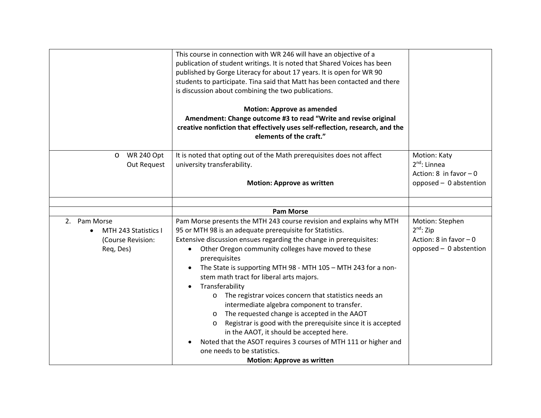|                                                                        | This course in connection with WR 246 will have an objective of a<br>publication of student writings. It is noted that Shared Voices has been<br>published by Gorge Literacy for about 17 years. It is open for WR 90<br>students to participate. Tina said that Matt has been contacted and there<br>is discussion about combining the two publications.<br><b>Motion: Approve as amended</b><br>Amendment: Change outcome #3 to read "Write and revise original<br>creative nonfiction that effectively uses self-reflection, research, and the<br>elements of the craft."                                                                                                                                                                                                                                                                        |                                                                                        |
|------------------------------------------------------------------------|-----------------------------------------------------------------------------------------------------------------------------------------------------------------------------------------------------------------------------------------------------------------------------------------------------------------------------------------------------------------------------------------------------------------------------------------------------------------------------------------------------------------------------------------------------------------------------------------------------------------------------------------------------------------------------------------------------------------------------------------------------------------------------------------------------------------------------------------------------|----------------------------------------------------------------------------------------|
| <b>WR 240 Opt</b><br>$\circ$<br>Out Request                            | It is noted that opting out of the Math prerequisites does not affect<br>university transferability.<br><b>Motion: Approve as written</b>                                                                                                                                                                                                                                                                                                                                                                                                                                                                                                                                                                                                                                                                                                           | Motion: Katy<br>$2nd$ : Linnea<br>Action: $8$ in favor $-0$<br>opposed - 0 abstention  |
|                                                                        |                                                                                                                                                                                                                                                                                                                                                                                                                                                                                                                                                                                                                                                                                                                                                                                                                                                     |                                                                                        |
|                                                                        | <b>Pam Morse</b>                                                                                                                                                                                                                                                                                                                                                                                                                                                                                                                                                                                                                                                                                                                                                                                                                                    |                                                                                        |
| 2. Pam Morse<br>MTH 243 Statistics I<br>(Course Revision:<br>Req, Des) | Pam Morse presents the MTH 243 course revision and explains why MTH<br>95 or MTH 98 is an adequate prerequisite for Statistics.<br>Extensive discussion ensues regarding the change in prerequisites:<br>Other Oregon community colleges have moved to these<br>prerequisites<br>The State is supporting MTH 98 - MTH 105 - MTH 243 for a non-<br>stem math tract for liberal arts majors.<br>Transferability<br>The registrar voices concern that statistics needs an<br>O<br>intermediate algebra component to transfer.<br>The requested change is accepted in the AAOT<br>$\circ$<br>Registrar is good with the prerequisite since it is accepted<br>$\circ$<br>in the AAOT, it should be accepted here.<br>Noted that the ASOT requires 3 courses of MTH 111 or higher and<br>one needs to be statistics.<br><b>Motion: Approve as written</b> | Motion: Stephen<br>$2^{nd}$ : Zip<br>Action: 8 in favor $-0$<br>opposed - 0 abstention |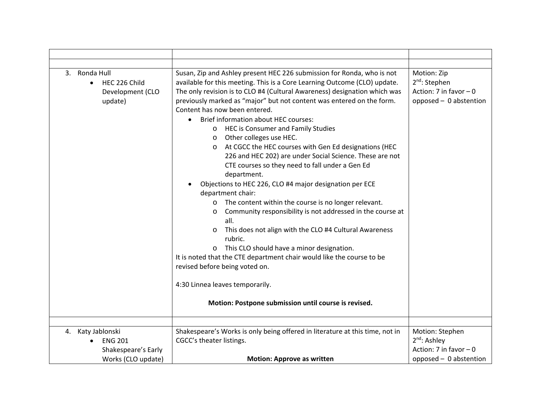| 3. Ronda Hull<br>HEC 226 Child<br>$\bullet$<br>Development (CLO<br>update) | Susan, Zip and Ashley present HEC 226 submission for Ronda, who is not<br>available for this meeting. This is a Core Learning Outcome (CLO) update.<br>The only revision is to CLO #4 (Cultural Awareness) designation which was<br>previously marked as "major" but not content was entered on the form.<br>Content has now been entered.<br>Brief information about HEC courses:<br><b>HEC is Consumer and Family Studies</b><br>$\circ$<br>Other colleges use HEC.<br>$\circ$<br>At CGCC the HEC courses with Gen Ed designations (HEC<br>$\circ$<br>226 and HEC 202) are under Social Science. These are not<br>CTE courses so they need to fall under a Gen Ed<br>department.<br>Objections to HEC 226, CLO #4 major designation per ECE<br>department chair:<br>The content within the course is no longer relevant.<br>$\circ$<br>Community responsibility is not addressed in the course at<br>$\circ$<br>all.<br>This does not align with the CLO #4 Cultural Awareness<br>$\circ$<br>rubric.<br>This CLO should have a minor designation.<br>$\circ$<br>It is noted that the CTE department chair would like the course to be<br>revised before being voted on.<br>4:30 Linnea leaves temporarily.<br>Motion: Postpone submission until course is revised. | Motion: Zip<br>2 <sup>nd</sup> : Stephen<br>Action: 7 in favor $-0$<br>opposed - 0 abstention |
|----------------------------------------------------------------------------|----------------------------------------------------------------------------------------------------------------------------------------------------------------------------------------------------------------------------------------------------------------------------------------------------------------------------------------------------------------------------------------------------------------------------------------------------------------------------------------------------------------------------------------------------------------------------------------------------------------------------------------------------------------------------------------------------------------------------------------------------------------------------------------------------------------------------------------------------------------------------------------------------------------------------------------------------------------------------------------------------------------------------------------------------------------------------------------------------------------------------------------------------------------------------------------------------------------------------------------------------------------------|-----------------------------------------------------------------------------------------------|
| 4. Katy Jablonski                                                          | Shakespeare's Works is only being offered in literature at this time, not in                                                                                                                                                                                                                                                                                                                                                                                                                                                                                                                                                                                                                                                                                                                                                                                                                                                                                                                                                                                                                                                                                                                                                                                         | Motion: Stephen                                                                               |
| <b>ENG 201</b>                                                             | CGCC's theater listings.                                                                                                                                                                                                                                                                                                                                                                                                                                                                                                                                                                                                                                                                                                                                                                                                                                                                                                                                                                                                                                                                                                                                                                                                                                             | 2 <sup>nd</sup> : Ashley                                                                      |
| Shakespeare's Early                                                        |                                                                                                                                                                                                                                                                                                                                                                                                                                                                                                                                                                                                                                                                                                                                                                                                                                                                                                                                                                                                                                                                                                                                                                                                                                                                      | Action: 7 in favor $-0$                                                                       |
| Works (CLO update)                                                         | <b>Motion: Approve as written</b>                                                                                                                                                                                                                                                                                                                                                                                                                                                                                                                                                                                                                                                                                                                                                                                                                                                                                                                                                                                                                                                                                                                                                                                                                                    | opposed - 0 abstention                                                                        |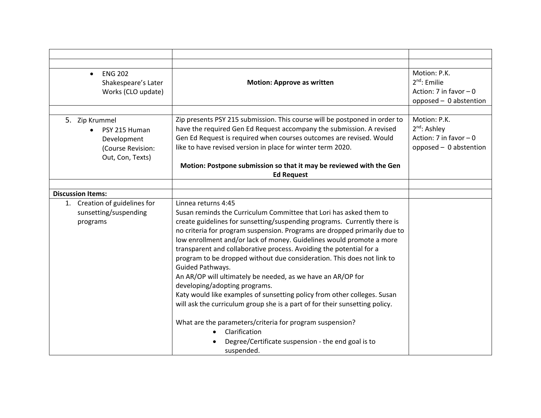| <b>ENG 202</b><br>$\bullet$<br>Shakespeare's Later<br>Works (CLO update)                | <b>Motion: Approve as written</b>                                                                                                                                                                                                                                                                                                                                                                                                                                                                                                                                                                                                                                                                                                   | Motion: P.K.<br>$2nd$ : Emilie<br>Action: 7 in favor $-0$<br>opposed - 0 abstention           |
|-----------------------------------------------------------------------------------------|-------------------------------------------------------------------------------------------------------------------------------------------------------------------------------------------------------------------------------------------------------------------------------------------------------------------------------------------------------------------------------------------------------------------------------------------------------------------------------------------------------------------------------------------------------------------------------------------------------------------------------------------------------------------------------------------------------------------------------------|-----------------------------------------------------------------------------------------------|
|                                                                                         |                                                                                                                                                                                                                                                                                                                                                                                                                                                                                                                                                                                                                                                                                                                                     |                                                                                               |
| 5. Zip Krummel<br>PSY 215 Human<br>Development<br>(Course Revision:<br>Out, Con, Texts) | Zip presents PSY 215 submission. This course will be postponed in order to<br>have the required Gen Ed Request accompany the submission. A revised<br>Gen Ed Request is required when courses outcomes are revised. Would<br>like to have revised version in place for winter term 2020.<br>Motion: Postpone submission so that it may be reviewed with the Gen                                                                                                                                                                                                                                                                                                                                                                     | Motion: P.K.<br>2 <sup>nd</sup> : Ashley<br>Action: 7 in favor $-0$<br>opposed - 0 abstention |
|                                                                                         | <b>Ed Request</b>                                                                                                                                                                                                                                                                                                                                                                                                                                                                                                                                                                                                                                                                                                                   |                                                                                               |
|                                                                                         |                                                                                                                                                                                                                                                                                                                                                                                                                                                                                                                                                                                                                                                                                                                                     |                                                                                               |
| <b>Discussion Items:</b>                                                                | Linnea returns 4:45                                                                                                                                                                                                                                                                                                                                                                                                                                                                                                                                                                                                                                                                                                                 |                                                                                               |
| 1. Creation of guidelines for<br>sunsetting/suspending<br>programs                      | Susan reminds the Curriculum Committee that Lori has asked them to<br>create guidelines for sunsetting/suspending programs. Currently there is<br>no criteria for program suspension. Programs are dropped primarily due to<br>low enrollment and/or lack of money. Guidelines would promote a more<br>transparent and collaborative process. Avoiding the potential for a<br>program to be dropped without due consideration. This does not link to<br>Guided Pathways.<br>An AR/OP will ultimately be needed, as we have an AR/OP for<br>developing/adopting programs.<br>Katy would like examples of sunsetting policy from other colleges. Susan<br>will ask the curriculum group she is a part of for their sunsetting policy. |                                                                                               |
|                                                                                         | What are the parameters/criteria for program suspension?<br>Clarification<br>Degree/Certificate suspension - the end goal is to<br>suspended.                                                                                                                                                                                                                                                                                                                                                                                                                                                                                                                                                                                       |                                                                                               |